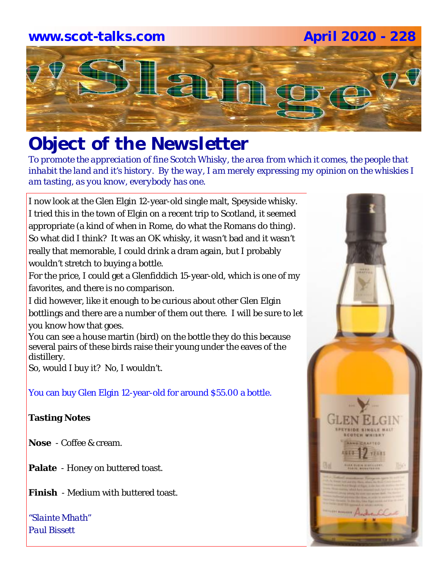## **www.scot-talks.com April 2020 - 228**Lau

### *Object of the Newsletter*

*To promote the appreciation of fine Scotch Whisky, the area from which it comes, the people that inhabit the land and it's history. By the way, I am merely expressing my opinion on the whiskies I am tasting, as you know, everybody has one.* 

I now look at the Glen Elgin 12-year-old single malt, Speyside whisky. I tried this in the town of Elgin on a recent trip to Scotland, it seemed appropriate (a kind of when in Rome, do what the Romans do thing). So what did I think? It was an OK whisky, it wasn't bad and it wasn't really that memorable, I could drink a dram again, but I probably wouldn't stretch to buying a bottle.

For the price, I could get a Glenfiddich 15-year-old, which is one of my favorites, and there is no comparison.

I did however, like it enough to be curious about other Glen Elgin bottlings and there are a number of them out there. I will be sure to let

you know how that goes.

You can see a house martin (bird) on the bottle they do this because several pairs of these birds raise their young under the eaves of the distillery.

So, would I buy it? No, I wouldn't.

#### You can buy Glen Elgin 12-year-old for around \$55.00 a bottle.

#### **Tasting Notes**

**Nose** - Coffee & cream.

- **Palate**  Honey on buttered toast.
- **Finish**  Medium with buttered toast.

*"Slainte Mhath" Paul Bissett*

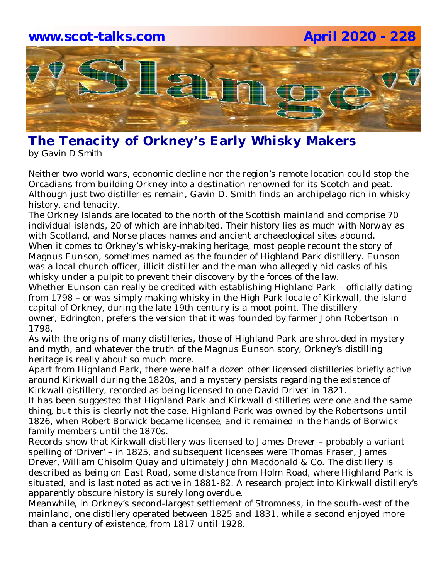

#### **The Tenacity of Orkney's Early Whisky Makers** *by Gavin D Smith*

Neither two world wars, economic decline nor the region's remote location could stop the Orcadians from building Orkney into a destination renowned for its Scotch and peat. Although just two distilleries remain, Gavin D. Smith finds an archipelago rich in whisky history, and tenacity.

The Orkney Islands are located to the north of the Scottish mainland and comprise 70 individual islands, 20 of which are inhabited. Their *history lies as much with Norway* as with Scotland, and Norse places names and ancient archaeological sites abound. When it comes to *Orkney's whisky-making heritage*, most people recount the story of Magnus Eunson, sometimes named as the founder of *Highland Park* distillery. Eunson was a local church officer, illicit distiller and the man who allegedly hid casks of his whisky under a pulpit to prevent their discovery by the forces of the law.

Whether Eunson can really be credited with establishing Highland Park – officially dating from 1798 – or was simply making whisky in the High Park locale of Kirkwall, the island capital of Orkney, during the late 19th century is a moot point. The distillery owner, *Edrington*, prefers the version that it was founded by farmer John Robertson in 1798.

As with the origins of many distilleries, those of Highland Park are shrouded in mystery and myth, and whatever the truth of the Magnus Eunson story, Orkney's distilling heritage is really about so much more.

Apart from Highland Park, there were half a dozen other licensed distilleries briefly active around Kirkwall during the 1820s, and a mystery persists regarding the existence of Kirkwall distillery, recorded as being licensed to one David Driver in 1821.

It has been suggested that Highland Park and Kirkwall distilleries were one and the same thing, but this is clearly not the case. Highland Park was owned by the Robertsons until 1826, when Robert Borwick became licensee, and it remained in the hands of Borwick family members until the 1870s.

Records show that Kirkwall distillery was licensed to James Drever – probably a variant spelling of 'Driver' – in 1825, and subsequent licensees were Thomas Fraser, James Drever, William Chisolm Quay and ultimately John Macdonald & Co. The distillery is described as being on East Road, some distance from Holm Road, where Highland Park is situated, and is last noted as active in 1881-82. A research project into Kirkwall distillery's apparently obscure history is surely long overdue.

Meanwhile, in Orkney's second-largest settlement of Stromness, in the south-west of the mainland, one distillery operated between 1825 and 1831, while a second enjoyed more than a century of existence, from 1817 until 1928.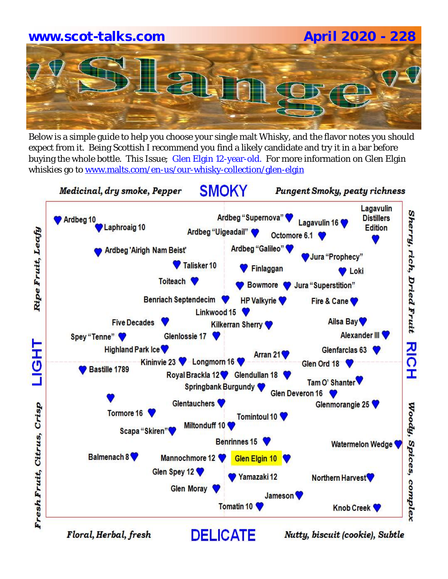# **www.scot-talks.com April 2020 - 228**

Below is a simple guide to help you choose your single malt Whisky, and the flavor notes you should expect from it. Being Scottish I recommend you find a likely candidate and try it in a bar before buying the whole bottle. This Issue; Glen Elgin 12-year-old. For more information on Glen Elgin whiskies go to www.malts.com/en-us/our-whisky-collection/glen-elgin



Floral, Herbal, fresh

Nutty, biscuit (cookie), Subtle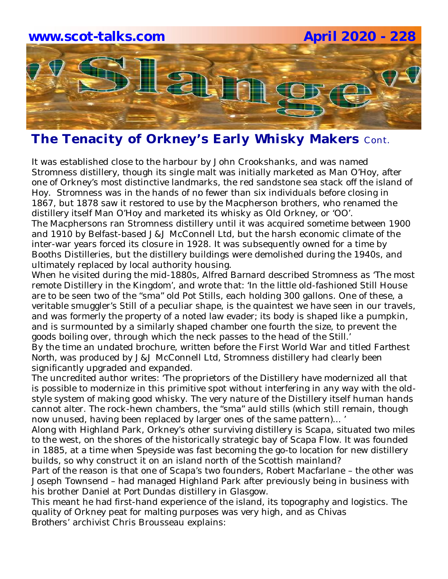

#### **The Tenacity of Orkney's Early Whisky Makers** Cont.

It was established close to the harbour by John Crookshanks, and was named Stromness distillery, though its single malt was initially marketed as Man O'Hoy, after one of Orkney's most distinctive landmarks, the red sandstone sea stack off the island of Hoy. Stromness was in the hands of no fewer than six individuals before closing in 1867, but 1878 saw it restored to use by the Macpherson brothers, who renamed the distillery itself Man O'Hoy and marketed its whisky as Old Orkney, or 'OO'.

The Macphersons ran Stromness distillery until it was acquired sometime between 1900 and 1910 by Belfast-based J&J McConnell Ltd, but the harsh economic climate of the inter-war years forced its closure in 1928. It was subsequently owned for a time by Booths Distilleries, but the distillery buildings were demolished during the 1940s, and ultimately replaced by local authority housing.

When he visited during the mid-1880s, *Alfred Barnard* described Stromness as 'The most remote Distillery in the Kingdom', and wrote that: 'In the little old-fashioned Still House are to be seen two of the "sma" old Pot Stills, each holding 300 gallons. One of these, a veritable smuggler's Still of a peculiar shape, is the quaintest we have seen in our travels, and was formerly the property of a noted law evader; its body is shaped like a pumpkin, and is surmounted by a similarly shaped chamber one fourth the size, to prevent the goods boiling over, through which the neck passes to the head of the Still.'

By the time an undated brochure, written before the First World War and titled *Farthest North*, was produced by J&J McConnell Ltd, Stromness distillery had clearly been significantly upgraded and expanded.

The uncredited author writes: 'The proprietors of the Distillery have modernized all that is possible to modernize in this primitive spot without interfering in any way with the oldstyle system of making good whisky. The very nature of the Distillery itself human hands cannot alter. The rock-hewn chambers, the "sma" auld stills (which still remain, though now unused, having been replaced by larger ones of the same pattern)... '

Along with Highland Park, Orkney's other surviving distillery is *Scapa*, situated two miles to the west, on the shores of the historically strategic bay of Scapa Flow. It was founded in 1885, at a time when Speyside was fast becoming the go-to location for new distillery builds, so why construct it on an island north of the Scottish mainland?

Part of the reason is that one of Scapa's two founders, Robert Macfarlane – the other was Joseph Townsend – had managed Highland Park after previously being in business with his brother Daniel at *Port Dundas* distillery in Glasgow.

This meant he had first-hand experience of the island, its topography and logistics. The quality of Orkney peat for malting purposes was very high, and as *Chivas Brothers'* archivist Chris Brousseau explains: